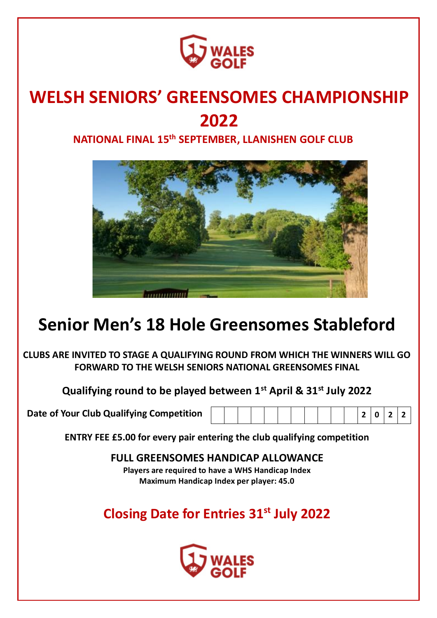

# **WELSH SENIORS' GREENSOMES CHAMPIONSHIP 2022**

**NATIONAL FINAL 15th SEPTEMBER, LLANISHEN GOLF CLUB**



# **Senior Men's 18 Hole Greensomes Stableford**

**CLUBS ARE INVITED TO STAGE A QUALIFYING ROUND FROM WHICH THE WINNERS WILL GO FORWARD TO THE WELSH SENIORS NATIONAL GREENSOMES FINAL**

**Qualifying round to be played between 1st April & 31st July 2022**

**Date of Your Club Qualifying Competition 2 0 2 2**

|--|--|--|--|

**ENTRY FEE £5.00 for every pair entering the club qualifying competition** 

**FULL GREENSOMES HANDICAP ALLOWANCE Players are required to have a WHS Handicap Index Maximum Handicap Index per player: 45.0**

**Closing Date for Entries 31st July 2022**

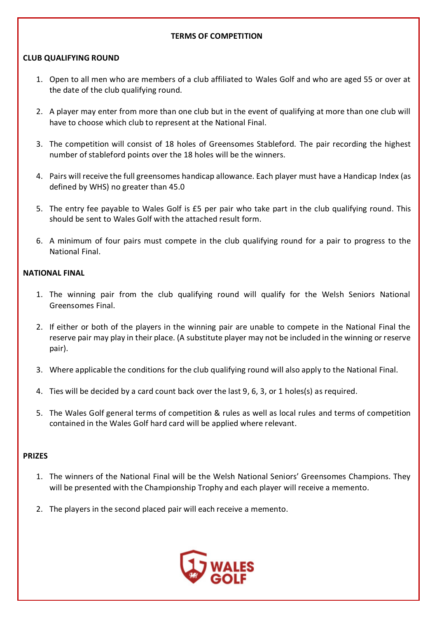#### **TERMS OF COMPETITION**

### **CLUB QUALIFYING ROUND**

- 1. Open to all men who are members of a club affiliated to Wales Golf and who are aged 55 or over at the date of the club qualifying round.
- 2. A player may enter from more than one club but in the event of qualifying at more than one club will have to choose which club to represent at the National Final.
- 3. The competition will consist of 18 holes of Greensomes Stableford. The pair recording the highest number of stableford points over the 18 holes will be the winners.
- 4. Pairs will receive the full greensomes handicap allowance. Each player must have a Handicap Index (as defined by WHS) no greater than 45.0
- 5. The entry fee payable to Wales Golf is £5 per pair who take part in the club qualifying round. This should be sent to Wales Golf with the attached result form.
- 6. A minimum of four pairs must compete in the club qualifying round for a pair to progress to the National Final.

### **NATIONAL FINAL**

- 1. The winning pair from the club qualifying round will qualify for the Welsh Seniors National Greensomes Final.
- 2. If either or both of the players in the winning pair are unable to compete in the National Final the reserve pair may play in their place. (A substitute player may not be included in the winning or reserve pair).
- 3. Where applicable the conditions for the club qualifying round will also apply to the National Final.
- 4. Ties will be decided by a card count back over the last 9, 6, 3, or 1 holes(s) as required.
- 5. The Wales Golf general terms of competition & rules as well as local rules and terms of competition contained in the Wales Golf hard card will be applied where relevant.

#### **PRIZES**

- 1. The winners of the National Final will be the Welsh National Seniors' Greensomes Champions. They will be presented with the Championship Trophy and each player will receive a memento.
- 2. The players in the second placed pair will each receive a memento.